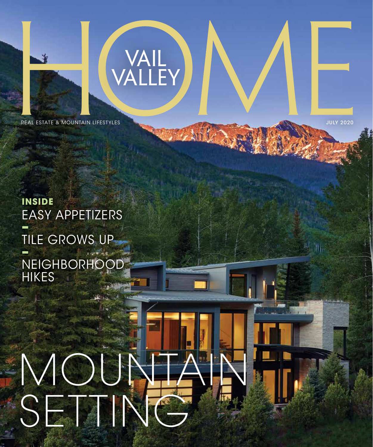

REAL ESTATE & MOUNTAIN LIFESTYLES AND A CONSUMING THE CONSUMING STATE OF THE CONSUMING STATE OF THE CONSUMING STATE OF THE CONSUMING STATE OF THE CONSUMING STATE OF THE CONSUMING STATE OF THE CONSUMING STATE OF THE CONSUMI

VAIL<br>VALLEY

W

#### **inside** EASY APPETIZERS **–** TILE GROWS UP **–** NEIGHBORHOOD **HIKES**

# MOUNTAIN SETTING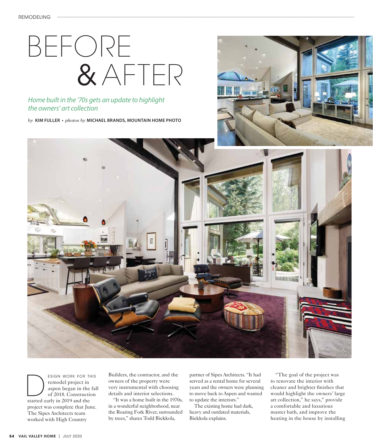## BEFORE & AFTER

#### *Home built in the '70s gets an update to highlight the owners' art collection*

*by* **KIM FULLER •** *photos by* **MICHAEL BRANDS, MOUNTAIN HOME PHOTO**





ESIGN WORK FOR THIS<br>
remodel project in<br>
aspen began in the fa<br>
of 2018. Construction<br>
started early in 2019 and the remodel project in aspen began in the fall of 2018. Construction project was complete that June. The Sipes Architects team worked with High Country

Builders, the contractor, and the owners of the property were very instrumental with choosing details and interior selections.

"It was a home built in the 1970s, in a wonderful neighborhood, near the Roaring Fork River, surrounded by trees," shares Todd Biekkola,

partner of Sipes Architects. "It had served as a rental home for several years and the owners were planning to move back to Aspen and wanted to update the interiors."

The existing home had dark, heavy and outdated materials, Biekkola explains.

"The goal of the project was to renovate the interior with cleaner and brighter finishes that would highlight the owners' large art collection," he says," provide a comfortable and luxurious master bath, and improve the heating in the house by installing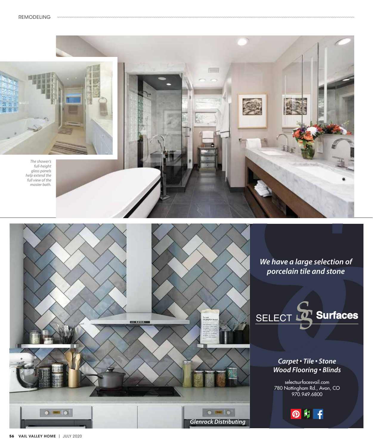



*We have a large selection of porcelain tile and stone*



#### *Carpet • Tile • Stone Wood Flooring • Blinds*

selectsurfacesvail.com 780 Nottingham Rd., Avon, CO 970.949.6800